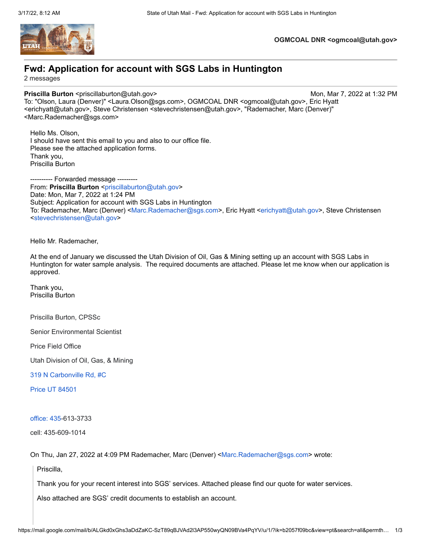

**OGMCOAL DNR <ogmcoal@utah.gov>**

# **Fwd: Application for account with SGS Labs in Huntington**

2 messages

### **Priscilla Burton** <priscillaburton@utah.gov> Mon, Mar 7, 2022 at 1:32 PM

To: "Olson, Laura (Denver)" <Laura.Olson@sgs.com>, OGMCOAL DNR <ogmcoal@utah.gov>, Eric Hyatt <erichyatt@utah.gov>, Steve Christensen <stevechristensen@utah.gov>, "Rademacher, Marc (Denver)" <Marc.Rademacher@sgs.com>

Hello Ms. Olson, I should have sent this email to you and also to our office file. Please see the attached application forms. Thank you, Priscilla Burton

---------- Forwarded message -------- From: Priscilla Burton <[priscillaburton@utah.gov](mailto:priscillaburton@utah.gov)> Date: Mon, Mar 7, 2022 at 1:24 PM Subject: Application for account with SGS Labs in Huntington To: Rademacher, Marc (Denver) [<Marc.Rademacher@sgs.com>](mailto:Marc.Rademacher@sgs.com), Eric Hyatt [<erichyatt@utah.gov](mailto:erichyatt@utah.gov)>, Steve Christensen <[stevechristensen@utah.gov](mailto:stevechristensen@utah.gov)>

Hello Mr. Rademacher,

At the end of January we discussed the Utah Division of Oil, Gas & Mining setting up an account with SGS Labs in Huntington for water sample analysis. The required documents are attached. Please let me know when our application is approved.

Thank you, Priscilla Burton

Priscilla Burton, CPSSc

Senior Environmental Scientist

Price Field Office

Utah Division of Oil, Gas, & Mining

[319 N Carbonville Rd, #C](https://www.google.com/maps/search/319+N+Carbonville+Rd,+%23C+Price+UT+84501+%C2%A0+office:+435?entry=gmail&source=g)

[Price UT 84501](https://www.google.com/maps/search/319+N+Carbonville+Rd,+%23C+Price+UT+84501+%C2%A0+office:+435?entry=gmail&source=g)

[office: 435-](https://www.google.com/maps/search/319+N+Carbonville+Rd,+%23C+Price+UT+84501+%C2%A0+office:+435?entry=gmail&source=g)613-3733

cell: 435-609-1014

On Thu, Jan 27, 2022 at 4:09 PM Rademacher, Marc (Denver) [<Marc.Rademacher@sgs.com>](mailto:Marc.Rademacher@sgs.com) wrote:

Priscilla,

Thank you for your recent interest into SGS' services. Attached please find our quote for water services.

Also attached are SGS' credit documents to establish an account.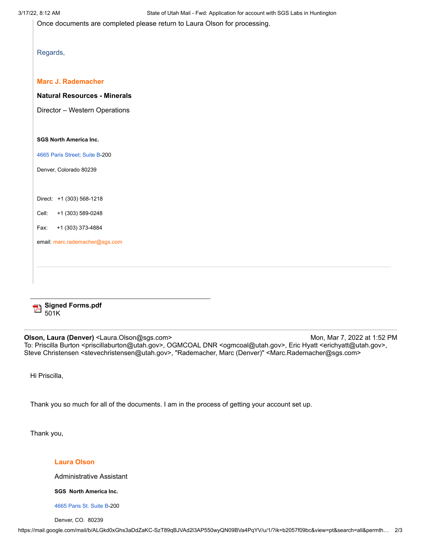Once documents are completed please return to Laura Olson for processing.

| roard |
|-------|
|-------|

### **Marc J. Rademacher**

**Natural Resources - Minerals**

Director – Western Operations

### **SGS North America Inc.**

4665 Paris [Street;](https://www.google.com/maps/search/4665+Paris+Street;+Suite+B?entry=gmail&source=g) Suite B-200

Denver, Colorado 80239

Direct: +1 (303) 568-1218

Cell: +1 (303) 589-0248

Fax: +1 (303) 373-4884

email: [marc.rademacher@sgs.com](mailto:marc.rademacher@sgs.com)



**Olson, Laura (Denver) <Laura.Olson@sgs.com> Mon, Mar 7, 2022 at 1:52 PM** To: Priscilla Burton <priscillaburton@utah.gov>, OGMCOAL DNR <ogmcoal@utah.gov>, Eric Hyatt <erichyatt@utah.gov>, Steve Christensen <stevechristensen@utah.gov>, "Rademacher, Marc (Denver)" <Marc.Rademacher@sgs.com>

Hi Priscilla,

Thank you so much for all of the documents. I am in the process of getting your account set up.

Thank you,

### **Laura Olson**

Administrative Assistant

**SGS North America Inc.**

4665 Paris St. [Suite](https://www.google.com/maps/search/4665+Paris+St.+Suite+B?entry=gmail&source=g) B-200

Denver, CO. 80239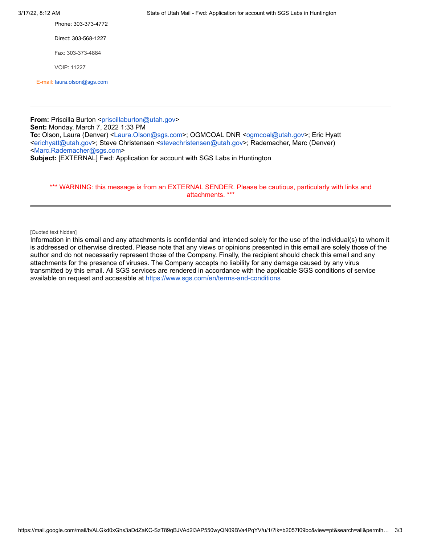Phone: 303-373-4772

Direct: 303-568-1227

Fax: 303-373-4884

VOIP: 11227

E-mail: [laura.olson@sgs.com](mailto:laura.olson@sgs.com)

**From:** Priscilla Burton [<priscillaburton@utah.gov>](mailto:priscillaburton@utah.gov) **Sent:** Monday, March 7, 2022 1:33 PM **To:** Olson, Laura (Denver) <[Laura.Olson@sgs.com](mailto:Laura.Olson@sgs.com)>; OGMCOAL DNR [<ogmcoal@utah.gov>](mailto:ogmcoal@utah.gov); Eric Hyatt <[erichyatt@utah.gov>](mailto:erichyatt@utah.gov); Steve Christensen <[stevechristensen@utah.gov>](mailto:stevechristensen@utah.gov); Rademacher, Marc (Denver) <[Marc.Rademacher@sgs.com](mailto:Marc.Rademacher@sgs.com)> **Subject:** [EXTERNAL] Fwd: Application for account with SGS Labs in Huntington

### \*\*\* WARNING: this message is from an EXTERNAL SENDER. Please be cautious, particularly with links and attachments. \*\*\*

### [Quoted text hidden]

Information in this email and any attachments is confidential and intended solely for the use of the individual(s) to whom it is addressed or otherwise directed. Please note that any views or opinions presented in this email are solely those of the author and do not necessarily represent those of the Company. Finally, the recipient should check this email and any attachments for the presence of viruses. The Company accepts no liability for any damage caused by any virus transmitted by this email. All SGS services are rendered in accordance with the applicable SGS conditions of service available on request and accessible at <https://www.sgs.com/en/terms-and-conditions>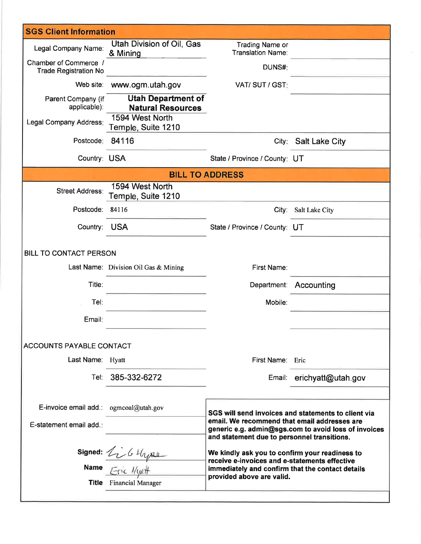| <b>SGS Client Information</b>                         |                                                       |                                                                                                   |                                                      |  |  |  |  |  |
|-------------------------------------------------------|-------------------------------------------------------|---------------------------------------------------------------------------------------------------|------------------------------------------------------|--|--|--|--|--|
| Legal Company Name:                                   | Utah Division of Oil, Gas<br>& Mining                 | <b>Trading Name or</b><br>Translation Name:                                                       |                                                      |  |  |  |  |  |
| Chamber of Commerce /<br><b>Trade Registration No</b> |                                                       | DUNS#:                                                                                            |                                                      |  |  |  |  |  |
| Web site:                                             | www.ogm.utah.gov                                      | VAT/SUT/GST:                                                                                      |                                                      |  |  |  |  |  |
| Parent Company (if<br>applicable):                    | <b>Utah Department of</b><br><b>Natural Resources</b> |                                                                                                   |                                                      |  |  |  |  |  |
| Legal Company Address:                                | 1594 West North<br>Temple, Suite 1210                 |                                                                                                   |                                                      |  |  |  |  |  |
| Postcode:                                             | 84116                                                 | City:                                                                                             | <b>Salt Lake City</b>                                |  |  |  |  |  |
| Country: USA                                          |                                                       | State / Province / County: UT                                                                     |                                                      |  |  |  |  |  |
|                                                       | <b>BILL TO ADDRESS</b>                                |                                                                                                   |                                                      |  |  |  |  |  |
| <b>Street Address:</b>                                | 1594 West North<br>Temple, Suite 1210                 |                                                                                                   |                                                      |  |  |  |  |  |
| Postcode: 84116                                       |                                                       | City:                                                                                             | Salt Lake City                                       |  |  |  |  |  |
| Country: USA                                          |                                                       | State / Province / County: UT                                                                     |                                                      |  |  |  |  |  |
| <b>BILL TO CONTACT PERSON</b>                         |                                                       |                                                                                                   |                                                      |  |  |  |  |  |
|                                                       | Last Name: Division Oil Gas & Mining                  | First Name:                                                                                       |                                                      |  |  |  |  |  |
| Title:                                                |                                                       | Department:                                                                                       | Accounting                                           |  |  |  |  |  |
| Tel:                                                  |                                                       | Mobile:                                                                                           |                                                      |  |  |  |  |  |
| Email:                                                |                                                       |                                                                                                   |                                                      |  |  |  |  |  |
| <b>ACCOUNTS PAYABLE CONTACT</b>                       |                                                       |                                                                                                   |                                                      |  |  |  |  |  |
| Last Name: Hyatt                                      |                                                       | First Name: Eric                                                                                  |                                                      |  |  |  |  |  |
|                                                       | Tel: 385-332-6272                                     |                                                                                                   | Email: erichyatt@utah.gov                            |  |  |  |  |  |
|                                                       |                                                       |                                                                                                   |                                                      |  |  |  |  |  |
| E-invoice email add.: ogmcoal@utah.gov                |                                                       |                                                                                                   | SGS will send invoices and statements to client via  |  |  |  |  |  |
| E-statement email add.:                               |                                                       | email. We recommend that email addresses are                                                      | generic e.g. admin@sgs.com to avoid loss of invoices |  |  |  |  |  |
|                                                       |                                                       | and statement due to personnel transitions.<br>We kindly ask you to confirm your readiness to     |                                                      |  |  |  |  |  |
|                                                       | Signed: <i>Li G Llysu</i>                             | receive e-invoices and e-statements effective<br>immediately and confirm that the contact details |                                                      |  |  |  |  |  |
|                                                       | <b>Title</b> Financial Manager                        | provided above are valid.                                                                         |                                                      |  |  |  |  |  |
|                                                       |                                                       |                                                                                                   |                                                      |  |  |  |  |  |

YZ.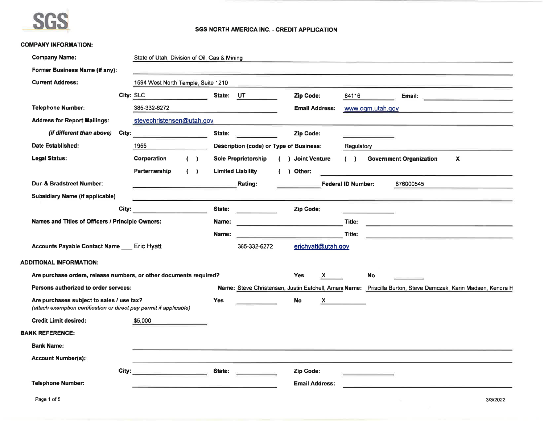

### SGS NORTH AMERICA INC. - CREDIT APPLICATION

### **COMPANY INFORMATION:**

| <b>Company Name:</b>                                                                                             |           | State of Utah, Division of Oil, Gas & Mining |   |            |                                                                                                                         |            |                       |    |                           |                  |                                                                                                              |                           |                                               |
|------------------------------------------------------------------------------------------------------------------|-----------|----------------------------------------------|---|------------|-------------------------------------------------------------------------------------------------------------------------|------------|-----------------------|----|---------------------------|------------------|--------------------------------------------------------------------------------------------------------------|---------------------------|-----------------------------------------------|
| Former Business Name (if any):                                                                                   |           |                                              |   |            | <u> Andreas Andreas Andreas Andreas Andreas Andreas Andreas Andreas Andreas Andreas Andreas Andreas Andreas Andreas</u> |            |                       |    |                           |                  |                                                                                                              |                           |                                               |
| <b>Current Address:</b>                                                                                          |           | 1594 West North Temple, Suite 1210           |   |            |                                                                                                                         |            |                       |    |                           |                  |                                                                                                              |                           |                                               |
|                                                                                                                  | City: SLC |                                              |   | State: UT  |                                                                                                                         |            | Zip Code:             |    | 84116                     |                  | Email:                                                                                                       |                           | <u> 1989 - Andrea Amerikaansk politiker (</u> |
| <b>Telephone Number:</b>                                                                                         |           | 385-332-6272                                 |   |            | <u> 1989 - John Stein, mars et al. (</u>                                                                                |            | <b>Email Address:</b> |    |                           | www.ogm.utah.gov |                                                                                                              |                           |                                               |
| <b>Address for Report Mailings:</b>                                                                              |           | stevechristensen@utah.gov                    |   |            |                                                                                                                         |            |                       |    |                           |                  |                                                                                                              |                           |                                               |
| (if different than above)                                                                                        | City:     |                                              |   | State:     |                                                                                                                         |            | Zip Code:             |    |                           |                  |                                                                                                              |                           |                                               |
| Date Established:                                                                                                |           | 1955                                         |   |            | <b>Description (code) or Type of Business:</b>                                                                          |            |                       |    | Regulatory                |                  |                                                                                                              |                           |                                               |
| <b>Legal Status:</b>                                                                                             |           | Corporation                                  | ( |            | <b>Sole Proprietorship</b>                                                                                              |            | ( ) Joint Venture     |    | (                         |                  | <b>Government Organization</b>                                                                               | $\boldsymbol{\mathsf{x}}$ |                                               |
|                                                                                                                  |           | Parternership                                | ( |            | <b>Limited Liability</b>                                                                                                | $\sqrt{2}$ | ) Other:              |    |                           |                  |                                                                                                              |                           |                                               |
| Dun & Bradstreet Number:                                                                                         |           |                                              |   |            | Rating:                                                                                                                 |            |                       |    | <b>Federal ID Number:</b> |                  | 876000545                                                                                                    |                           |                                               |
| <b>Subsidiary Name (if applicable)</b>                                                                           |           |                                              |   |            |                                                                                                                         |            |                       |    |                           |                  |                                                                                                              |                           |                                               |
|                                                                                                                  | City:     |                                              |   | State:     | <b>Contract Contract Contract</b>                                                                                       |            | Zip Code:             |    |                           |                  |                                                                                                              |                           |                                               |
| Names and Titles of Officers / Principle Owners:                                                                 |           |                                              |   | Name:      | <u> 1980 - Johann John Stone, markin f</u>                                                                              |            |                       |    | Title:                    |                  | the control of the control of the control of the control of the control of                                   |                           |                                               |
|                                                                                                                  |           |                                              |   | Name:      |                                                                                                                         |            |                       |    | Title:                    |                  | <u> 1989 - Andrea Stadt Britain, amerikansk politik (* 1908)</u>                                             |                           |                                               |
| Accounts Payable Contact Name ___ Eric Hyatt                                                                     |           |                                              |   |            | 385-332-6272                                                                                                            |            | erichyatt@utah.gov    |    |                           |                  |                                                                                                              |                           |                                               |
| <b>ADDITIONAL INFORMATION:</b>                                                                                   |           |                                              |   |            |                                                                                                                         |            |                       |    |                           |                  |                                                                                                              |                           |                                               |
| Are purchase orders, release numbers, or other documents required?                                               |           |                                              |   |            |                                                                                                                         |            | <b>Yes</b>            | X  |                           | <b>No</b>        |                                                                                                              |                           |                                               |
| Persons authorized to order servces:                                                                             |           |                                              |   |            |                                                                                                                         |            |                       |    |                           |                  | Name: Steve Christensen, Justin Eatchell, Aman Name: Priscilla Burton, Steve Demczak, Karin Madsen, Kendra H |                           |                                               |
| Are purchases subject to sales / use tax?<br>(attach exemption certification or direct pay permit if applicable) |           |                                              |   | <b>Yes</b> |                                                                                                                         |            | <b>No</b>             | X. |                           |                  |                                                                                                              |                           |                                               |
| <b>Credit Limit desired:</b>                                                                                     |           | \$5,000                                      |   |            |                                                                                                                         |            |                       |    |                           |                  |                                                                                                              |                           |                                               |
| <b>BANK REFERENCE:</b>                                                                                           |           |                                              |   |            |                                                                                                                         |            |                       |    |                           |                  |                                                                                                              |                           |                                               |
| <b>Bank Name:</b>                                                                                                |           |                                              |   |            |                                                                                                                         |            |                       |    |                           |                  |                                                                                                              |                           |                                               |
| <b>Account Number(s):</b>                                                                                        |           |                                              |   |            |                                                                                                                         |            |                       |    |                           |                  |                                                                                                              |                           |                                               |
|                                                                                                                  | City:     | the control of the control of the control of |   | State:     |                                                                                                                         |            | Zip Code:             |    |                           |                  |                                                                                                              |                           |                                               |
| <b>Telephone Number:</b>                                                                                         |           |                                              |   |            |                                                                                                                         |            | <b>Email Address:</b> |    |                           |                  |                                                                                                              |                           |                                               |
| Page 1 of 5                                                                                                      |           |                                              |   |            |                                                                                                                         |            |                       |    |                           |                  |                                                                                                              |                           | 3/3/2022                                      |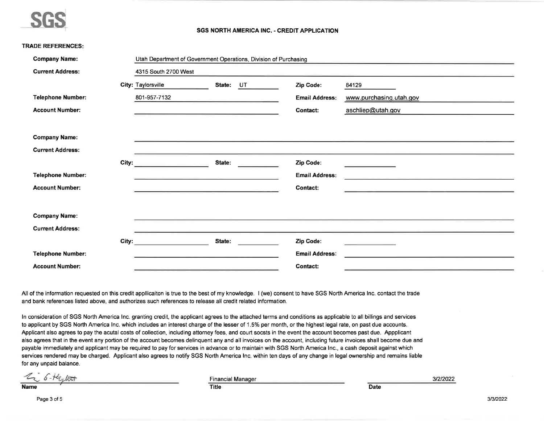

### **SGS NORTH AMERICA INC. - CREDIT APPLICATION**

|  | <b>TRADE REFERENCES:</b> |  |  |
|--|--------------------------|--|--|
|  |                          |  |  |
|  |                          |  |  |

| <b>Company Name:</b>     |       | Utah Department of Government Operations, Division of Purchasing |        |    |                       |                         |  |  |
|--------------------------|-------|------------------------------------------------------------------|--------|----|-----------------------|-------------------------|--|--|
| <b>Current Address:</b>  |       | 4315 South 2700 West                                             |        |    |                       |                         |  |  |
|                          |       | City: Taylorsville                                               | State: | UT | Zip Code:             | 84129                   |  |  |
| <b>Telephone Number:</b> |       | 801-957-7132                                                     |        |    | <b>Email Address:</b> | www.purchasing.utah.gov |  |  |
| <b>Account Number:</b>   |       |                                                                  |        |    | <b>Contact:</b>       | aschliep@utah.gov       |  |  |
|                          |       |                                                                  |        |    |                       |                         |  |  |
| <b>Company Name:</b>     |       |                                                                  |        |    |                       |                         |  |  |
| <b>Current Address:</b>  |       |                                                                  |        |    |                       |                         |  |  |
|                          | City: | the control of the control of the                                | State: |    | Zip Code:             |                         |  |  |
| <b>Telephone Number:</b> |       |                                                                  |        |    | <b>Email Address:</b> |                         |  |  |
| <b>Account Number:</b>   |       |                                                                  |        |    | <b>Contact:</b>       |                         |  |  |
|                          |       |                                                                  |        |    |                       |                         |  |  |
| <b>Company Name:</b>     |       |                                                                  |        |    |                       |                         |  |  |
| <b>Current Address:</b>  |       |                                                                  |        |    |                       |                         |  |  |
|                          | City: |                                                                  | State: |    | Zip Code:             |                         |  |  |
| <b>Telephone Number:</b> |       |                                                                  |        |    | <b>Email Address:</b> |                         |  |  |
| <b>Account Number:</b>   |       |                                                                  |        |    | <b>Contact:</b>       |                         |  |  |

All of the information requested on this credit appllicaiton is true to the best of my knowledge. I (we) consent to have SGS North America Inc. contact the trade and bank references listed above, and authorizes such references to release all credit related information.

In consideration of SGS North America Inc. granting credit, the applicant agrees to the attached terms and conditions as applicable to all billings and services to applicant by SGS North America Inc. which includes an interest charge of the lesser of 1.5% per month, or the highest legal rate, on past due accounts. Applicant also agrees to pay the acutal costs of collection, including attorney fees, and court socsts in the event the account becomes past due. Appplicant also agrees that in the event any portion of the account becomes delinquent any and all invoices on the account, including future invoices shall become due and payable immediately and applicant may be required to pay for services in advance or to maintain with SGS North America Inc., a cash deposit against which services rendered may be charged. Applicant also agrees to notify SGS North America Inc. within ten days of any change in legal ownership and remains liable for any unpaid balance.

**Title** 

Li 6-Hyllott

**Financial Manager** 

3/2/2022

**Date**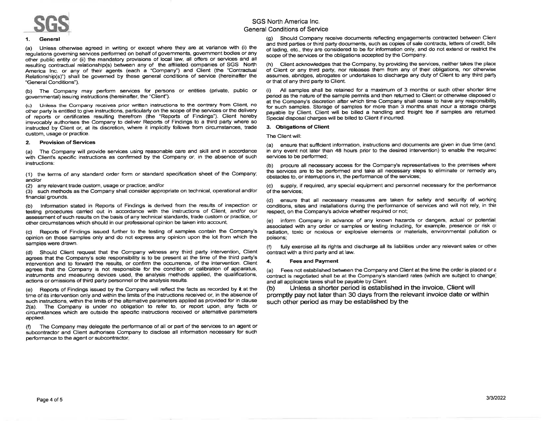

#### $1<sub>1</sub>$ General

Unless otherwise agreed in writing or except where they are at variance with (i) the  $(a)$ regulations governing services performed on behalf of governments, government bodies or any other public entity or (ii) the mandatory provisions of local law, all offers or services and all resulting contractual relationship(s) between any of the affiliated companies of SGS North America Inc. or any of their agents (each a "Company") and Client (the "Contractual Relationship(s)") shall be governed by these general conditions of service (hereinafter the "General Conditions").

(b) The Company may perform services for persons or entities (private, public or governmental) issuing instructions (hereinafter, the "Client").

(c) Unless the Company receives prior written instructions to the contrary from Client. no other party is entitled to give instructions, particularly on the scope of the services or the delivery of reports or certificates resulting therefrom (the "Reports of Findings"). Client hereby inevocably authorises the Company to deliver Reports of Findings to a third party where so instructed by Client or, at its discretion, where it implicitly follows from circumstances, trade custom, usage or practice.

#### **Provision of Services** 2.

The Company will provide services using reasonable care and skill and in accordance  $(a)$ with Client's specific instructions as confirmed by the Company or, in the absence of such instructions:

(1) the terms of any standard order form or standard specification sheet of the Company; and/or

(2) any relevant trade custom, usage or practice; and/or

(3) such methods as the Company shall consider appropriate on technical, operational and/or financial grounds.

(b) Information stated in Reports of Findings is derived from the results of inspection or testing procedures carried out in accordance with the instructions of Client, and/or our assessment of such results on the basis of any technical standards, trade custom or practice, or other circumstances which should in our professional opinion be taken into account.

(c) Reports of Findings issued further to the testing of samples contain the Company's opinion on those samples only and do not express any opinion upon the lot from which the samples were drawn.

(d) Should Client request that the Company witness any third party intervention, Client agrees that the Company's sole responsibility is to be present at the time of the third party's intervention and to forward the results, or confirm the occurrence, of the intervention. Client agrees that the Company is not responsible for the condition or calibration of apparatus, instruments and measuring devices used, the analysis methods applied, the qualifications, actions or omissions of third party personnel or the analysis results.

(e) Reports of Findings issued by the Company will reflect the facts as recorded by it at the time of its intervention only and within the limits of the instructions received or, in the absence of such instructions, within the limits of the alternative parameters applied as provided for in clause 2(a). The Company is under no obligation to refer to, or report upon, any facts or circumstances which are outside the specific instructions received or alternative parameters applied.

The Company may delegate the performance of all or part of the services to an agent or  $(f)$ subcontractor and Client authorises Company to disclose all information necessary for such performance to the agent or subcontractor.

## SGS North America Inc. **General Conditions of Service**

(g) Should Company receive documents reflecting engagements contracted between Client and third parties or third party documents, such as copies of sale contracts, letters of credit, bills of lading, etc., they are considered to be for information only, and do not extend or restrict the scope of the services or the obligations accepted by the Company.

(h) Client acknowledges that the Company, by providing the services, neither takes the place of Client or any third party, nor releases them from any of their obligations, nor otherwise assumes, abridges, abrogates or undertakes to discharge any duty of Client to any third party or that of any third party to Client.

All samples shall be retained for a maximum of 3 months or such other shorter time  $(i)$ period as the nature of the sample permits and then returned to Client or otherwise disposed of at the Company's discretion after which time Company shall cease to have any responsibility for such samples. Storage of samples for more than 3 months shall incur a storage charge payable by Client. Client will be billed a handling and freight fee if samples are returned. Special disposal charges will be billed to Client if incurred.

### 3. Obligations of Client

The Client will:

(a) ensure that sufficient information, instructions and documents are given in due time (and. in any event not later than 48 hours prior to the desired intervention) to enable the required services to be performed:

procure all necessary access for the Company's representatives to the premises where  $(b)$ the services are to be performed and take all necessary steps to eliminate or remedy any obstacles to, or interruptions in, the performance of the services;

(c) supply, if required, any special equipment and personnel necessary for the performance of the services:

(d) ensure that all necessary measures are taken for safety and security of working conditions, sites and installations during the performance of services and will not rely, in this respect, on the Company's advice whether required or not;

(e) inform Company in advance of any known hazards or dangers, actual or potential associated with any order or samples or testing including, for example, presence or risk of radiation toxic or noxious or explosive elements or materials, environmental pollution or poisons:

fully exercise all its rights and discharge all its liabilities under any relevant sales or other contract with a third party and at law.

#### 4. **Fees and Payment**

(a) Fees not established between the Company and Client at the time the order is placed or  $\varepsilon$ contract is negotiated shall be at the Company's standard rates (which are subject to change) and all applicable taxes shall be payable by Client.

Unless a shorter period is established in the invoice, Client will  $(b)$ promptly pay not later than 30 days from the relevant invoice date or within such other period as may be established by the